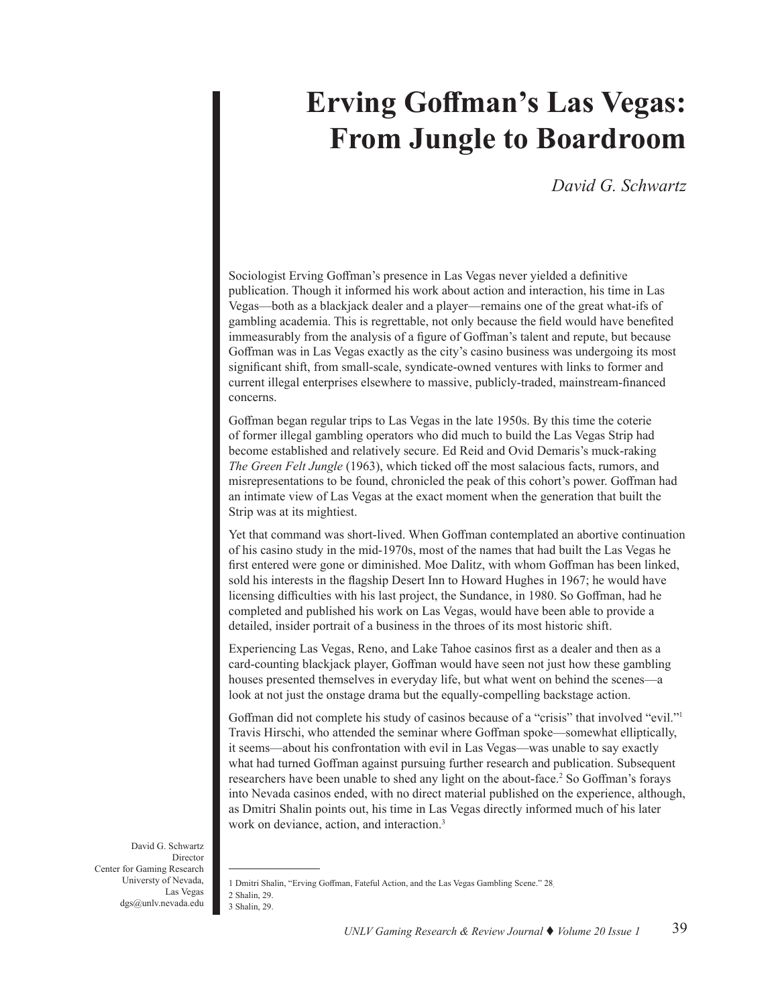# **Erving Goffman's Las Vegas: From Jungle to Boardroom**

# *David G. Schwartz*

Sociologist Erving Goffman's presence in Las Vegas never yielded a definitive publication. Though it informed his work about action and interaction, his time in Las Vegas—both as a blackjack dealer and a player—remains one of the great what-ifs of gambling academia. This is regrettable, not only because the field would have benefited immeasurably from the analysis of a figure of Goffman's talent and repute, but because Goffman was in Las Vegas exactly as the city's casino business was undergoing its most significant shift, from small-scale, syndicate-owned ventures with links to former and current illegal enterprises elsewhere to massive, publicly-traded, mainstream-financed concerns.

Goffman began regular trips to Las Vegas in the late 1950s. By this time the coterie of former illegal gambling operators who did much to build the Las Vegas Strip had become established and relatively secure. Ed Reid and Ovid Demaris's muck-raking *The Green Felt Jungle* (1963), which ticked off the most salacious facts, rumors, and misrepresentations to be found, chronicled the peak of this cohort's power. Goffman had an intimate view of Las Vegas at the exact moment when the generation that built the Strip was at its mightiest.

Yet that command was short-lived. When Goffman contemplated an abortive continuation of his casino study in the mid-1970s, most of the names that had built the Las Vegas he first entered were gone or diminished. Moe Dalitz, with whom Goffman has been linked, sold his interests in the flagship Desert Inn to Howard Hughes in 1967; he would have licensing difficulties with his last project, the Sundance, in 1980. So Goffman, had he completed and published his work on Las Vegas, would have been able to provide a detailed, insider portrait of a business in the throes of its most historic shift.

Experiencing Las Vegas, Reno, and Lake Tahoe casinos first as a dealer and then as a card-counting blackjack player, Goffman would have seen not just how these gambling houses presented themselves in everyday life, but what went on behind the scenes—a look at not just the onstage drama but the equally-compelling backstage action.

Goffman did not complete his study of casinos because of a "crisis" that involved "evil."<sup>1</sup> Travis Hirschi, who attended the seminar where Goffman spoke—somewhat elliptically, it seems—about his confrontation with evil in Las Vegas—was unable to say exactly what had turned Goffman against pursuing further research and publication. Subsequent researchers have been unable to shed any light on the about-face.<sup>2</sup> So Goffman's forays into Nevada casinos ended, with no direct material published on the experience, although, as Dmitri Shalin points out, his time in Las Vegas directly informed much of his later work on deviance, action, and interaction.<sup>3</sup>

David G. Schwartz Director Center for Gaming Research Universty of Nevada, Las Vegas dgs@unlv.nevada.edu

<sup>1</sup> Dmitri Shalin, "Erving Goffman, Fateful Action, and the Las Vegas Gambling Scene." 28. 2 Shalin, 29. 3 Shalin, 29.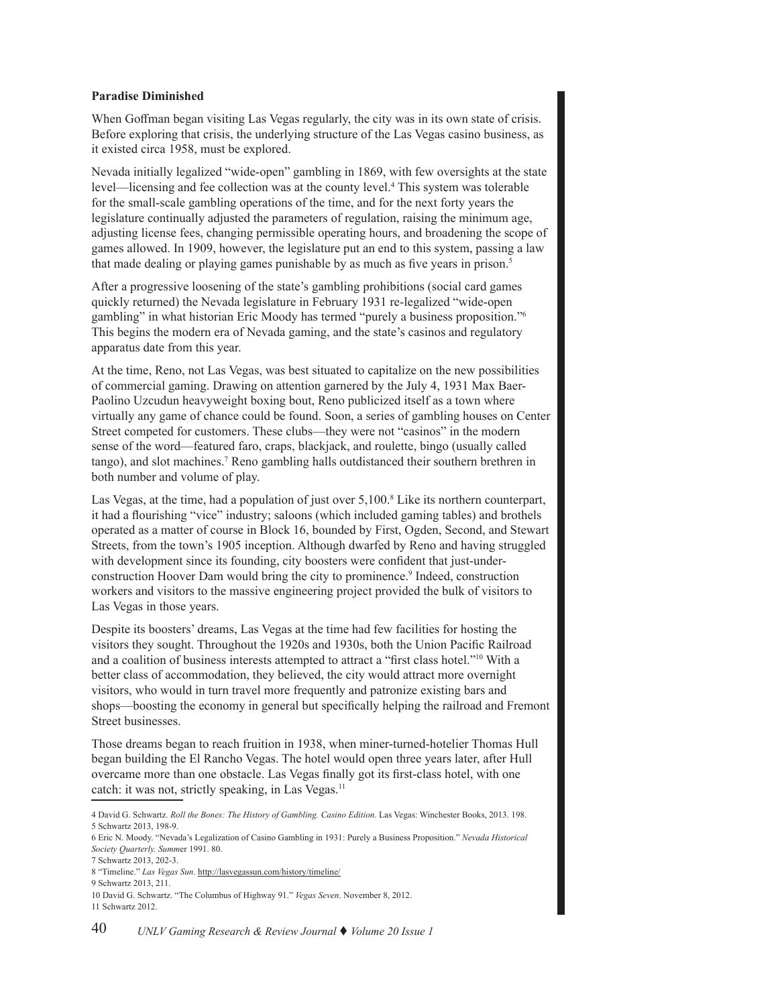#### **Paradise Diminished**

When Goffman began visiting Las Vegas regularly, the city was in its own state of crisis. Before exploring that crisis, the underlying structure of the Las Vegas casino business, as it existed circa 1958, must be explored.

Nevada initially legalized "wide-open" gambling in 1869, with few oversights at the state level—licensing and fee collection was at the county level.<sup>4</sup> This system was tolerable for the small-scale gambling operations of the time, and for the next forty years the legislature continually adjusted the parameters of regulation, raising the minimum age, adjusting license fees, changing permissible operating hours, and broadening the scope of games allowed. In 1909, however, the legislature put an end to this system, passing a law that made dealing or playing games punishable by as much as five years in prison.<sup>5</sup>

After a progressive loosening of the state's gambling prohibitions (social card games quickly returned) the Nevada legislature in February 1931 re-legalized "wide-open gambling" in what historian Eric Moody has termed "purely a business proposition."6 This begins the modern era of Nevada gaming, and the state's casinos and regulatory apparatus date from this year.

At the time, Reno, not Las Vegas, was best situated to capitalize on the new possibilities of commercial gaming. Drawing on attention garnered by the July 4, 1931 Max Baer-Paolino Uzcudun heavyweight boxing bout, Reno publicized itself as a town where virtually any game of chance could be found. Soon, a series of gambling houses on Center Street competed for customers. These clubs—they were not "casinos" in the modern sense of the word—featured faro, craps, blackjack, and roulette, bingo (usually called tango), and slot machines.<sup>7</sup> Reno gambling halls outdistanced their southern brethren in both number and volume of play.

Las Vegas, at the time, had a population of just over 5,100.<sup>8</sup> Like its northern counterpart, it had a flourishing "vice" industry; saloons (which included gaming tables) and brothels operated as a matter of course in Block 16, bounded by First, Ogden, Second, and Stewart Streets, from the town's 1905 inception. Although dwarfed by Reno and having struggled with development since its founding, city boosters were confident that just-underconstruction Hoover Dam would bring the city to prominence.<sup>9</sup> Indeed, construction workers and visitors to the massive engineering project provided the bulk of visitors to Las Vegas in those years.

Despite its boosters' dreams, Las Vegas at the time had few facilities for hosting the visitors they sought. Throughout the 1920s and 1930s, both the Union Pacific Railroad and a coalition of business interests attempted to attract a "first class hotel."10 With a better class of accommodation, they believed, the city would attract more overnight visitors, who would in turn travel more frequently and patronize existing bars and shops—boosting the economy in general but specifically helping the railroad and Fremont Street businesses.

Those dreams began to reach fruition in 1938, when miner-turned-hotelier Thomas Hull began building the El Rancho Vegas. The hotel would open three years later, after Hull overcame more than one obstacle. Las Vegas finally got its first-class hotel, with one catch: it was not, strictly speaking, in Las Vegas.<sup>11</sup>

<sup>4</sup> David G. Schwartz. *Roll the Bones: The History of Gambling. Casino Edition*. Las Vegas: Winchester Books, 2013. 198. 5 Schwartz 2013, 198-9.

<sup>6</sup> Eric N. Moody. "Nevada's Legalization of Casino Gambling in 1931: Purely a Business Proposition." *Nevada Historical Society Quarterly. Summ*er 1991. 80.

<sup>7</sup> Schwartz 2013, 202-3.

<sup>8 &</sup>quot;Timeline." *Las Vegas Sun*. http://lasvegassun.com/history/timeline/

<sup>9</sup> Schwartz 2013, 211.

<sup>10</sup> David G. Schwartz. "The Columbus of Highway 91." *Vegas Seven*. November 8, 2012. 11 Schwartz 2012.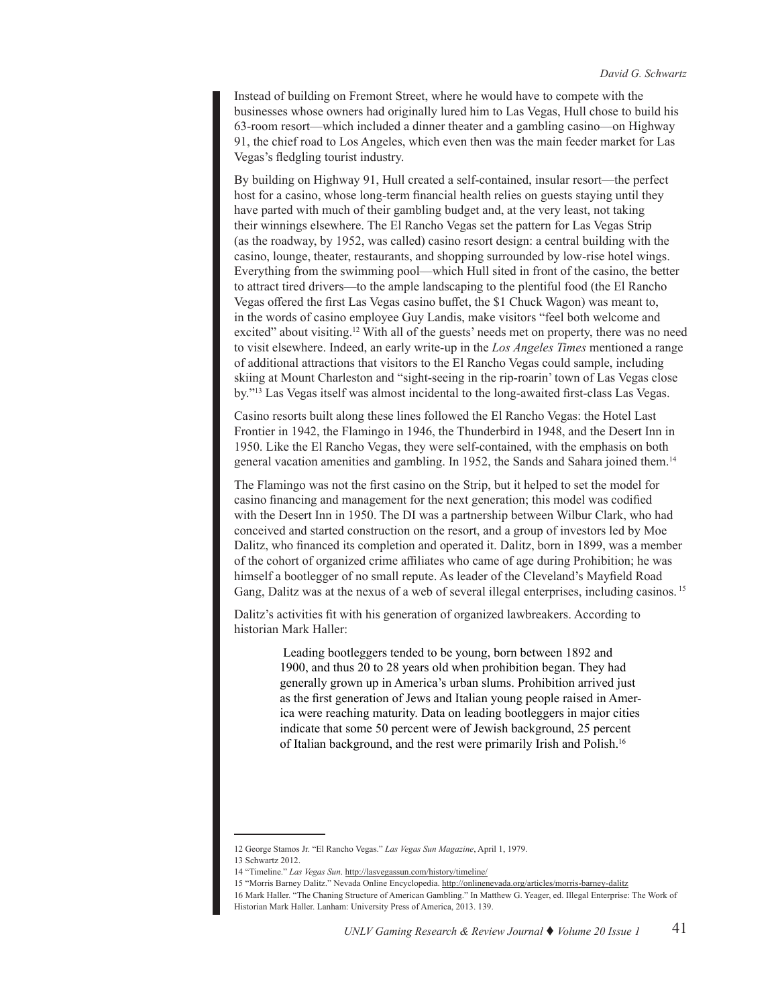Instead of building on Fremont Street, where he would have to compete with the businesses whose owners had originally lured him to Las Vegas, Hull chose to build his 63-room resort—which included a dinner theater and a gambling casino—on Highway 91, the chief road to Los Angeles, which even then was the main feeder market for Las Vegas's fledgling tourist industry.

By building on Highway 91, Hull created a self-contained, insular resort—the perfect host for a casino, whose long-term financial health relies on guests staying until they have parted with much of their gambling budget and, at the very least, not taking their winnings elsewhere. The El Rancho Vegas set the pattern for Las Vegas Strip (as the roadway, by 1952, was called) casino resort design: a central building with the casino, lounge, theater, restaurants, and shopping surrounded by low-rise hotel wings. Everything from the swimming pool—which Hull sited in front of the casino, the better to attract tired drivers—to the ample landscaping to the plentiful food (the El Rancho Vegas offered the first Las Vegas casino buffet, the \$1 Chuck Wagon) was meant to, in the words of casino employee Guy Landis, make visitors "feel both welcome and excited" about visiting.<sup>12</sup> With all of the guests' needs met on property, there was no need to visit elsewhere. Indeed, an early write-up in the *Los Angeles Times* mentioned a range of additional attractions that visitors to the El Rancho Vegas could sample, including skiing at Mount Charleston and "sight-seeing in the rip-roarin' town of Las Vegas close by."13 Las Vegas itself was almost incidental to the long-awaited first-class Las Vegas.

Casino resorts built along these lines followed the El Rancho Vegas: the Hotel Last Frontier in 1942, the Flamingo in 1946, the Thunderbird in 1948, and the Desert Inn in 1950. Like the El Rancho Vegas, they were self-contained, with the emphasis on both general vacation amenities and gambling. In 1952, the Sands and Sahara joined them.14

The Flamingo was not the first casino on the Strip, but it helped to set the model for casino financing and management for the next generation; this model was codified with the Desert Inn in 1950. The DI was a partnership between Wilbur Clark, who had conceived and started construction on the resort, and a group of investors led by Moe Dalitz, who financed its completion and operated it. Dalitz, born in 1899, was a member of the cohort of organized crime affiliates who came of age during Prohibition; he was himself a bootlegger of no small repute. As leader of the Cleveland's Mayfield Road Gang, Dalitz was at the nexus of a web of several illegal enterprises, including casinos. <sup>15</sup>

Dalitz's activities fit with his generation of organized lawbreakers. According to historian Mark Haller:

> Leading bootleggers tended to be young, born between 1892 and 1900, and thus 20 to 28 years old when prohibition began. They had generally grown up in America's urban slums. Prohibition arrived just as the first generation of Jews and Italian young people raised in America were reaching maturity. Data on leading bootleggers in major cities indicate that some 50 percent were of Jewish background, 25 percent of Italian background, and the rest were primarily Irish and Polish.16

<sup>12</sup> George Stamos Jr. "El Rancho Vegas." *Las Vegas Sun Magazine*, April 1, 1979. 13 Schwartz 2012.

<sup>14 &</sup>quot;Timeline." *Las Vegas Sun*. http://lasvegassun.com/history/timeline/

<sup>15 &</sup>quot;Morris Barney Dalitz." Nevada Online Encyclopedia. http://onlinenevada.org/articles/morris-barney-dalitz

<sup>16</sup> Mark Haller. "The Chaning Structure of American Gambling." In Matthew G. Yeager, ed. Illegal Enterprise: The Work of Historian Mark Haller. Lanham: University Press of America, 2013. 139.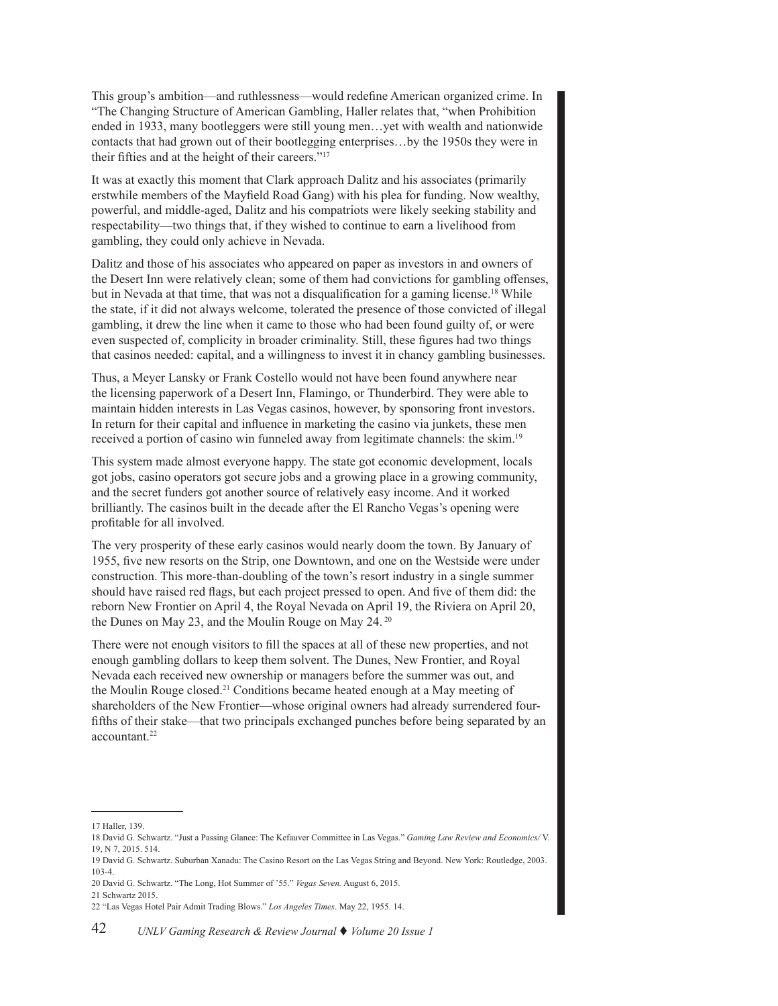This group's ambition—and ruthlessness—would redefine American organized crime. In "The Changing Structure of American Gambling, Haller relates that, "when Prohibition ended in 1933, many bootleggers were still young men…yet with wealth and nationwide contacts that had grown out of their bootlegging enterprises…by the 1950s they were in their fifties and at the height of their careers."17

It was at exactly this moment that Clark approach Dalitz and his associates (primarily erstwhile members of the Mayfield Road Gang) with his plea for funding. Now wealthy, powerful, and middle-aged, Dalitz and his compatriots were likely seeking stability and respectability—two things that, if they wished to continue to earn a livelihood from gambling, they could only achieve in Nevada.

Dalitz and those of his associates who appeared on paper as investors in and owners of the Desert Inn were relatively clean; some of them had convictions for gambling offenses, but in Nevada at that time, that was not a disqualification for a gaming license.<sup>18</sup> While the state, if it did not always welcome, tolerated the presence of those convicted of illegal gambling, it drew the line when it came to those who had been found guilty of, or were even suspected of, complicity in broader criminality. Still, these figures had two things that casinos needed: capital, and a willingness to invest it in chancy gambling businesses.

Thus, a Meyer Lansky or Frank Costello would not have been found anywhere near the licensing paperwork of a Desert Inn, Flamingo, or Thunderbird. They were able to maintain hidden interests in Las Vegas casinos, however, by sponsoring front investors. In return for their capital and influence in marketing the casino via junkets, these men received a portion of casino win funneled away from legitimate channels: the skim.19

This system made almost everyone happy. The state got economic development, locals got jobs, casino operators got secure jobs and a growing place in a growing community, and the secret funders got another source of relatively easy income. And it worked brilliantly. The casinos built in the decade after the El Rancho Vegas's opening were profitable for all involved.

The very prosperity of these early casinos would nearly doom the town. By January of 1955, five new resorts on the Strip, one Downtown, and one on the Westside were under construction. This more-than-doubling of the town's resort industry in a single summer should have raised red flags, but each project pressed to open. And five of them did: the reborn New Frontier on April 4, the Royal Nevada on April 19, the Riviera on April 20, the Dunes on May 23, and the Moulin Rouge on May 24.<sup>20</sup>

There were not enough visitors to fill the spaces at all of these new properties, and not enough gambling dollars to keep them solvent. The Dunes, New Frontier, and Royal Nevada each received new ownership or managers before the summer was out, and the Moulin Rouge closed.21 Conditions became heated enough at a May meeting of shareholders of the New Frontier—whose original owners had already surrendered fourfifths of their stake—that two principals exchanged punches before being separated by an accountant.<sup>22</sup>

<sup>17</sup> Haller, 139.

<sup>18</sup> David G. Schwartz. "Just a Passing Glance: The Kefauver Committee in Las Vegas." *Gaming Law Review and Economics/* V. 19, N 7, 2015. 514.

<sup>19</sup> David G. Schwartz. Suburban Xanadu: The Casino Resort on the Las Vegas String and Beyond. New York: Routledge, 2003. 103-4.

<sup>20</sup> David G. Schwartz. "The Long, Hot Summer of '55." *Vegas Seven.* August 6, 2015.

<sup>21</sup> Schwartz 2015.

<sup>22 &</sup>quot;Las Vegas Hotel Pair Admit Trading Blows." *Los Angeles Times*. May 22, 1955. 14.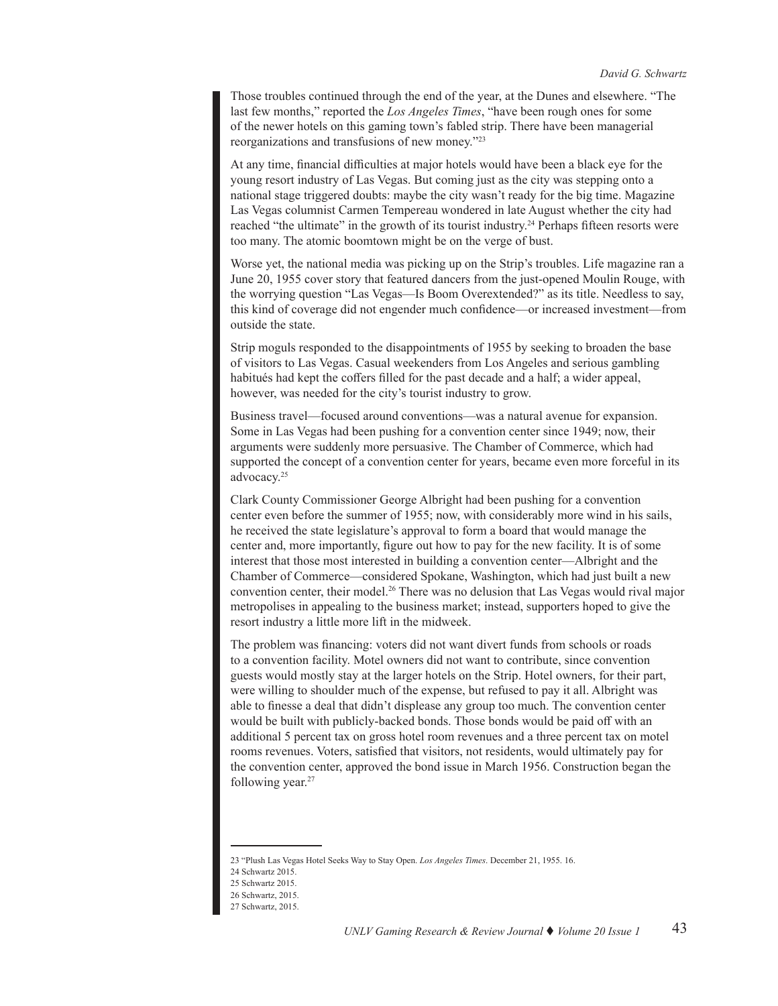Those troubles continued through the end of the year, at the Dunes and elsewhere. "The last few months," reported the *Los Angeles Times*, "have been rough ones for some of the newer hotels on this gaming town's fabled strip. There have been managerial reorganizations and transfusions of new money."<sup>23</sup>

At any time, financial difficulties at major hotels would have been a black eye for the young resort industry of Las Vegas. But coming just as the city was stepping onto a national stage triggered doubts: maybe the city wasn't ready for the big time. Magazine Las Vegas columnist Carmen Tempereau wondered in late August whether the city had reached "the ultimate" in the growth of its tourist industry.<sup>24</sup> Perhaps fifteen resorts were too many. The atomic boomtown might be on the verge of bust.

Worse yet, the national media was picking up on the Strip's troubles. Life magazine ran a June 20, 1955 cover story that featured dancers from the just-opened Moulin Rouge, with the worrying question "Las Vegas—Is Boom Overextended?" as its title. Needless to say, this kind of coverage did not engender much confidence—or increased investment—from outside the state.

Strip moguls responded to the disappointments of 1955 by seeking to broaden the base of visitors to Las Vegas. Casual weekenders from Los Angeles and serious gambling habitués had kept the coffers filled for the past decade and a half; a wider appeal, however, was needed for the city's tourist industry to grow.

Business travel—focused around conventions—was a natural avenue for expansion. Some in Las Vegas had been pushing for a convention center since 1949; now, their arguments were suddenly more persuasive. The Chamber of Commerce, which had supported the concept of a convention center for years, became even more forceful in its advocacy.25

Clark County Commissioner George Albright had been pushing for a convention center even before the summer of 1955; now, with considerably more wind in his sails, he received the state legislature's approval to form a board that would manage the center and, more importantly, figure out how to pay for the new facility. It is of some interest that those most interested in building a convention center—Albright and the Chamber of Commerce—considered Spokane, Washington, which had just built a new convention center, their model.<sup>26</sup> There was no delusion that Las Vegas would rival major metropolises in appealing to the business market; instead, supporters hoped to give the resort industry a little more lift in the midweek.

The problem was financing: voters did not want divert funds from schools or roads to a convention facility. Motel owners did not want to contribute, since convention guests would mostly stay at the larger hotels on the Strip. Hotel owners, for their part, were willing to shoulder much of the expense, but refused to pay it all. Albright was able to finesse a deal that didn't displease any group too much. The convention center would be built with publicly-backed bonds. Those bonds would be paid off with an additional 5 percent tax on gross hotel room revenues and a three percent tax on motel rooms revenues. Voters, satisfied that visitors, not residents, would ultimately pay for the convention center, approved the bond issue in March 1956. Construction began the following year.<sup>27</sup>

<sup>23 &</sup>quot;Plush Las Vegas Hotel Seeks Way to Stay Open. *Los Angeles Times*. December 21, 1955. 16.

<sup>24</sup> Schwartz 2015.

<sup>25</sup> Schwartz 2015.

<sup>26</sup> Schwartz, 2015.

<sup>27</sup> Schwartz, 2015.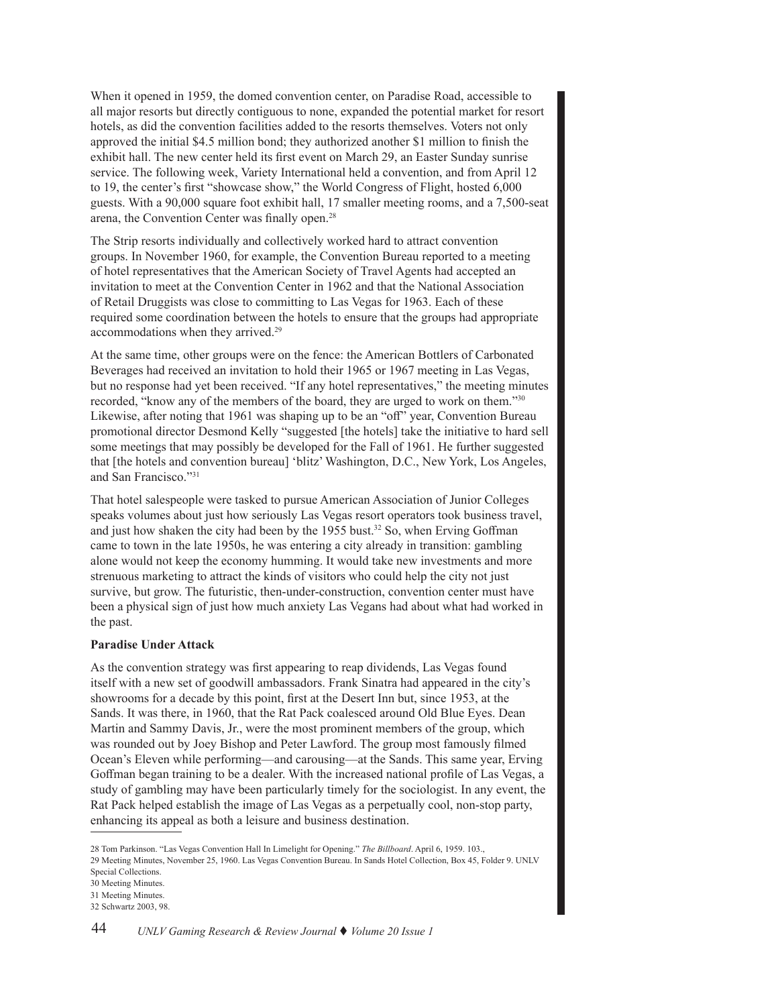When it opened in 1959, the domed convention center, on Paradise Road, accessible to all major resorts but directly contiguous to none, expanded the potential market for resort hotels, as did the convention facilities added to the resorts themselves. Voters not only approved the initial \$4.5 million bond; they authorized another \$1 million to finish the exhibit hall. The new center held its first event on March 29, an Easter Sunday sunrise service. The following week, Variety International held a convention, and from April 12 to 19, the center's first "showcase show," the World Congress of Flight, hosted 6,000 guests. With a 90,000 square foot exhibit hall, 17 smaller meeting rooms, and a 7,500-seat arena, the Convention Center was finally open.28

The Strip resorts individually and collectively worked hard to attract convention groups. In November 1960, for example, the Convention Bureau reported to a meeting of hotel representatives that the American Society of Travel Agents had accepted an invitation to meet at the Convention Center in 1962 and that the National Association of Retail Druggists was close to committing to Las Vegas for 1963. Each of these required some coordination between the hotels to ensure that the groups had appropriate accommodations when they arrived.<sup>29</sup>

At the same time, other groups were on the fence: the American Bottlers of Carbonated Beverages had received an invitation to hold their 1965 or 1967 meeting in Las Vegas, but no response had yet been received. "If any hotel representatives," the meeting minutes recorded, "know any of the members of the board, they are urged to work on them."30 Likewise, after noting that 1961 was shaping up to be an "off" year, Convention Bureau promotional director Desmond Kelly "suggested [the hotels] take the initiative to hard sell some meetings that may possibly be developed for the Fall of 1961. He further suggested that [the hotels and convention bureau] 'blitz' Washington, D.C., New York, Los Angeles, and San Francisco."31

That hotel salespeople were tasked to pursue American Association of Junior Colleges speaks volumes about just how seriously Las Vegas resort operators took business travel, and just how shaken the city had been by the 1955 bust.<sup>32</sup> So, when Erving Goffman came to town in the late 1950s, he was entering a city already in transition: gambling alone would not keep the economy humming. It would take new investments and more strenuous marketing to attract the kinds of visitors who could help the city not just survive, but grow. The futuristic, then-under-construction, convention center must have been a physical sign of just how much anxiety Las Vegans had about what had worked in the past.

#### **Paradise Under Attack**

As the convention strategy was first appearing to reap dividends, Las Vegas found itself with a new set of goodwill ambassadors. Frank Sinatra had appeared in the city's showrooms for a decade by this point, first at the Desert Inn but, since 1953, at the Sands. It was there, in 1960, that the Rat Pack coalesced around Old Blue Eyes. Dean Martin and Sammy Davis, Jr., were the most prominent members of the group, which was rounded out by Joey Bishop and Peter Lawford. The group most famously filmed Ocean's Eleven while performing—and carousing—at the Sands. This same year, Erving Goffman began training to be a dealer. With the increased national profile of Las Vegas, a study of gambling may have been particularly timely for the sociologist. In any event, the Rat Pack helped establish the image of Las Vegas as a perpetually cool, non-stop party, enhancing its appeal as both a leisure and business destination.

<sup>28</sup> Tom Parkinson. "Las Vegas Convention Hall In Limelight for Opening." *The Billboard*. April 6, 1959. 103., 29 Meeting Minutes, November 25, 1960. Las Vegas Convention Bureau. In Sands Hotel Collection, Box 45, Folder 9. UNLV Special Collections.

<sup>30</sup> Meeting Minutes.

<sup>31</sup> Meeting Minutes. 32 Schwartz 2003, 98.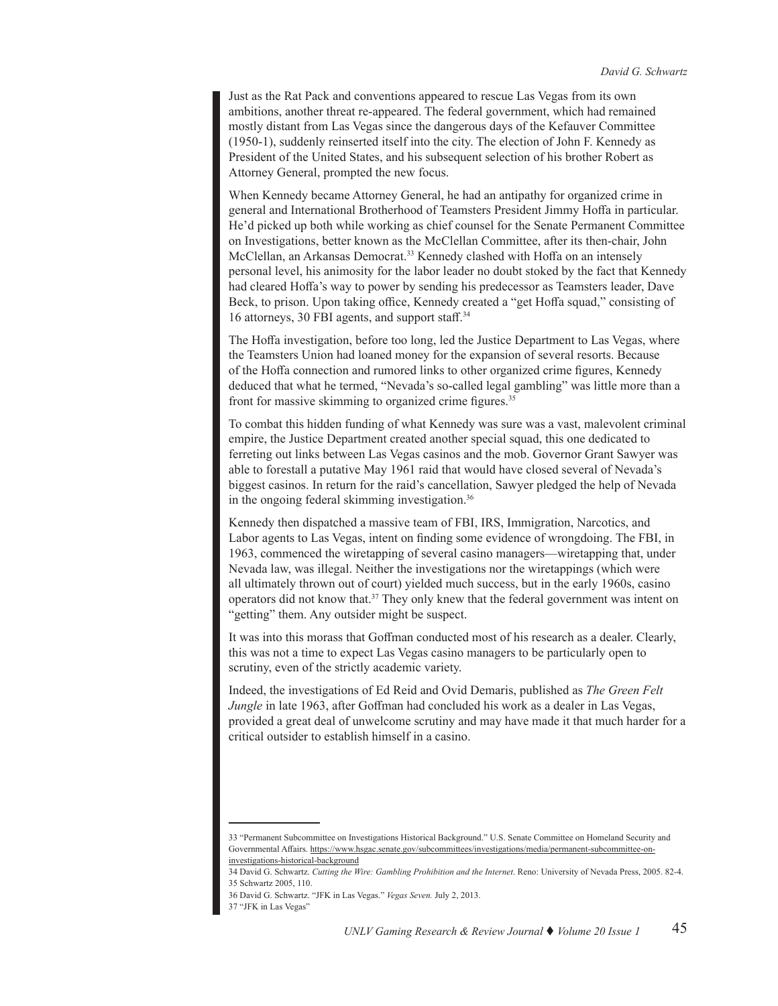Just as the Rat Pack and conventions appeared to rescue Las Vegas from its own ambitions, another threat re-appeared. The federal government, which had remained mostly distant from Las Vegas since the dangerous days of the Kefauver Committee (1950-1), suddenly reinserted itself into the city. The election of John F. Kennedy as President of the United States, and his subsequent selection of his brother Robert as Attorney General, prompted the new focus.

When Kennedy became Attorney General, he had an antipathy for organized crime in general and International Brotherhood of Teamsters President Jimmy Hoffa in particular. He'd picked up both while working as chief counsel for the Senate Permanent Committee on Investigations, better known as the McClellan Committee, after its then-chair, John McClellan, an Arkansas Democrat.<sup>33</sup> Kennedy clashed with Hoffa on an intensely personal level, his animosity for the labor leader no doubt stoked by the fact that Kennedy had cleared Hoffa's way to power by sending his predecessor as Teamsters leader, Dave Beck, to prison. Upon taking office, Kennedy created a "get Hoffa squad," consisting of 16 attorneys, 30 FBI agents, and support staff.<sup>34</sup>

The Hoffa investigation, before too long, led the Justice Department to Las Vegas, where the Teamsters Union had loaned money for the expansion of several resorts. Because of the Hoffa connection and rumored links to other organized crime figures, Kennedy deduced that what he termed, "Nevada's so-called legal gambling" was little more than a front for massive skimming to organized crime figures.35

To combat this hidden funding of what Kennedy was sure was a vast, malevolent criminal empire, the Justice Department created another special squad, this one dedicated to ferreting out links between Las Vegas casinos and the mob. Governor Grant Sawyer was able to forestall a putative May 1961 raid that would have closed several of Nevada's biggest casinos. In return for the raid's cancellation, Sawyer pledged the help of Nevada in the ongoing federal skimming investigation.36

Kennedy then dispatched a massive team of FBI, IRS, Immigration, Narcotics, and Labor agents to Las Vegas, intent on finding some evidence of wrongdoing. The FBI, in 1963, commenced the wiretapping of several casino managers—wiretapping that, under Nevada law, was illegal. Neither the investigations nor the wiretappings (which were all ultimately thrown out of court) yielded much success, but in the early 1960s, casino operators did not know that.37 They only knew that the federal government was intent on "getting" them. Any outsider might be suspect.

It was into this morass that Goffman conducted most of his research as a dealer. Clearly, this was not a time to expect Las Vegas casino managers to be particularly open to scrutiny, even of the strictly academic variety.

Indeed, the investigations of Ed Reid and Ovid Demaris, published as *The Green Felt Jungle* in late 1963, after Goffman had concluded his work as a dealer in Las Vegas, provided a great deal of unwelcome scrutiny and may have made it that much harder for a critical outsider to establish himself in a casino.

<sup>33 &</sup>quot;Permanent Subcommittee on Investigations Historical Background." U.S. Senate Committee on Homeland Security and Governmental Affairs. https://www.hsgac.senate.gov/subcommittees/investigations/media/permanent-subcommittee-oninvestigations-historical-background

<sup>34</sup> David G. Schwartz. *Cutting the Wire: Gambling Prohibition and the Internet*. Reno: University of Nevada Press, 2005. 82-4. 35 Schwartz 2005, 110.

<sup>36</sup> David G. Schwartz. "JFK in Las Vegas." *Vegas Seven.* July 2, 2013.

<sup>37 &</sup>quot;JFK in Las Vegas"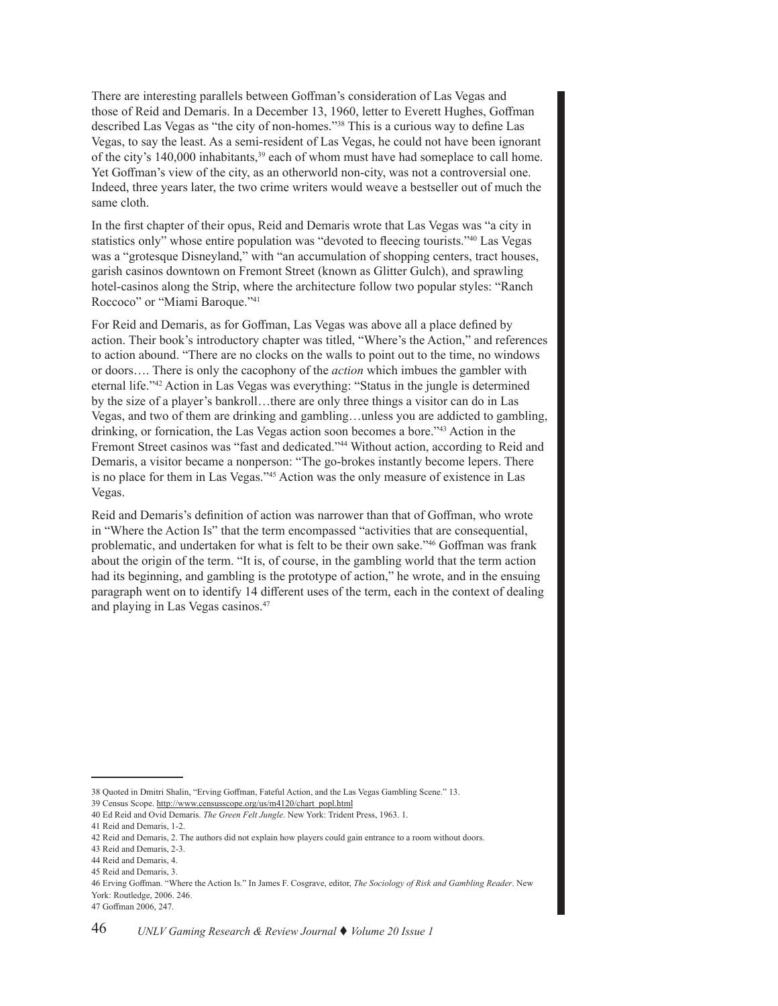There are interesting parallels between Goffman's consideration of Las Vegas and those of Reid and Demaris. In a December 13, 1960, letter to Everett Hughes, Goffman described Las Vegas as "the city of non-homes."38 This is a curious way to define Las Vegas, to say the least. As a semi-resident of Las Vegas, he could not have been ignorant of the city's 140,000 inhabitants,<sup>39</sup> each of whom must have had someplace to call home. Yet Goffman's view of the city, as an otherworld non-city, was not a controversial one. Indeed, three years later, the two crime writers would weave a bestseller out of much the same cloth.

In the first chapter of their opus, Reid and Demaris wrote that Las Vegas was "a city in statistics only" whose entire population was "devoted to fleecing tourists."40 Las Vegas was a "grotesque Disneyland," with "an accumulation of shopping centers, tract houses, garish casinos downtown on Fremont Street (known as Glitter Gulch), and sprawling hotel-casinos along the Strip, where the architecture follow two popular styles: "Ranch Roccoco" or "Miami Baroque."41

For Reid and Demaris, as for Goffman, Las Vegas was above all a place defined by action. Their book's introductory chapter was titled, "Where's the Action," and references to action abound. "There are no clocks on the walls to point out to the time, no windows or doors…. There is only the cacophony of the *action* which imbues the gambler with eternal life."<sup>42</sup> Action in Las Vegas was everything: "Status in the jungle is determined by the size of a player's bankroll…there are only three things a visitor can do in Las Vegas, and two of them are drinking and gambling…unless you are addicted to gambling, drinking, or fornication, the Las Vegas action soon becomes a bore."<sup>43</sup> Action in the Fremont Street casinos was "fast and dedicated."<sup>44</sup> Without action, according to Reid and Demaris, a visitor became a nonperson: "The go-brokes instantly become lepers. There is no place for them in Las Vegas."45 Action was the only measure of existence in Las Vegas.

Reid and Demaris's definition of action was narrower than that of Goffman, who wrote in "Where the Action Is" that the term encompassed "activities that are consequential, problematic, and undertaken for what is felt to be their own sake."46 Goffman was frank about the origin of the term. "It is, of course, in the gambling world that the term action had its beginning, and gambling is the prototype of action," he wrote, and in the ensuing paragraph went on to identify 14 different uses of the term, each in the context of dealing and playing in Las Vegas casinos.<sup>47</sup>

<sup>38</sup> Quoted in Dmitri Shalin, "Erving Goffman, Fateful Action, and the Las Vegas Gambling Scene." 13.

<sup>39</sup> Census Scope. http://www.censusscope.org/us/m4120/chart\_popl.html

<sup>40</sup> Ed Reid and Ovid Demaris. *The Green Felt Jungle*. New York: Trident Press, 1963. 1.

<sup>41</sup> Reid and Demaris, 1-2.

<sup>42</sup> Reid and Demaris, 2. The authors did not explain how players could gain entrance to a room without doors.

<sup>43</sup> Reid and Demaris, 2-3.

<sup>44</sup> Reid and Demaris, 4.

<sup>45</sup> Reid and Demaris, 3.

<sup>46</sup> Erving Goffman. "Where the Action Is." In James F. Cosgrave, editor, *The Sociology of Risk and Gambling Reader*. New York: Routledge, 2006. 246.

<sup>47</sup> Goffman 2006, 247.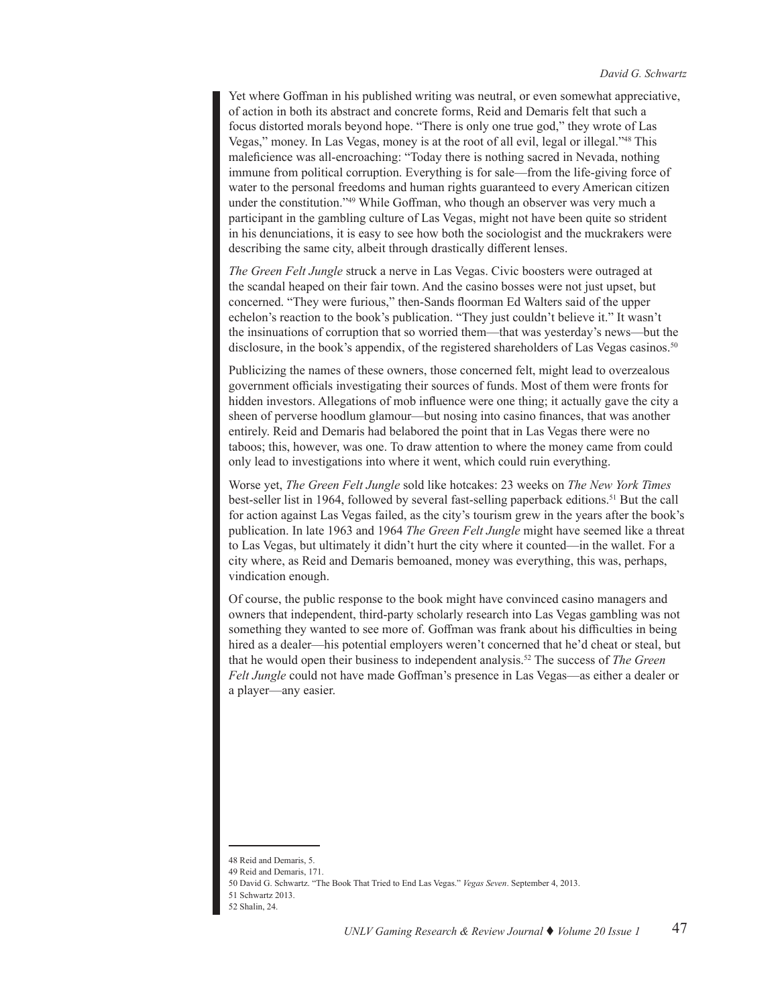Yet where Goffman in his published writing was neutral, or even somewhat appreciative, of action in both its abstract and concrete forms, Reid and Demaris felt that such a focus distorted morals beyond hope. "There is only one true god," they wrote of Las Vegas," money. In Las Vegas, money is at the root of all evil, legal or illegal."48 This maleficience was all-encroaching: "Today there is nothing sacred in Nevada, nothing immune from political corruption. Everything is for sale—from the life-giving force of water to the personal freedoms and human rights guaranteed to every American citizen under the constitution."<sup>49</sup> While Goffman, who though an observer was very much a participant in the gambling culture of Las Vegas, might not have been quite so strident in his denunciations, it is easy to see how both the sociologist and the muckrakers were describing the same city, albeit through drastically different lenses.

*The Green Felt Jungle* struck a nerve in Las Vegas. Civic boosters were outraged at the scandal heaped on their fair town. And the casino bosses were not just upset, but concerned. "They were furious," then-Sands floorman Ed Walters said of the upper echelon's reaction to the book's publication. "They just couldn't believe it." It wasn't the insinuations of corruption that so worried them—that was yesterday's news—but the disclosure, in the book's appendix, of the registered shareholders of Las Vegas casinos.<sup>50</sup>

Publicizing the names of these owners, those concerned felt, might lead to overzealous government officials investigating their sources of funds. Most of them were fronts for hidden investors. Allegations of mob influence were one thing; it actually gave the city a sheen of perverse hoodlum glamour—but nosing into casino finances, that was another entirely. Reid and Demaris had belabored the point that in Las Vegas there were no taboos; this, however, was one. To draw attention to where the money came from could only lead to investigations into where it went, which could ruin everything.

Worse yet, *The Green Felt Jungle* sold like hotcakes: 23 weeks on *The New York Times*  best-seller list in 1964, followed by several fast-selling paperback editions.51 But the call for action against Las Vegas failed, as the city's tourism grew in the years after the book's publication. In late 1963 and 1964 *The Green Felt Jungle* might have seemed like a threat to Las Vegas, but ultimately it didn't hurt the city where it counted—in the wallet. For a city where, as Reid and Demaris bemoaned, money was everything, this was, perhaps, vindication enough.

Of course, the public response to the book might have convinced casino managers and owners that independent, third-party scholarly research into Las Vegas gambling was not something they wanted to see more of. Goffman was frank about his difficulties in being hired as a dealer—his potential employers weren't concerned that he'd cheat or steal, but that he would open their business to independent analysis.52 The success of *The Green Felt Jungle* could not have made Goffman's presence in Las Vegas—as either a dealer or a player—any easier.

<sup>48</sup> Reid and Demaris, 5.

<sup>49</sup> Reid and Demaris, 171.

<sup>50</sup> David G. Schwartz. "The Book That Tried to End Las Vegas." *Vegas Seven*. September 4, 2013.

<sup>51</sup> Schwartz 2013.

<sup>52</sup> Shalin, 24.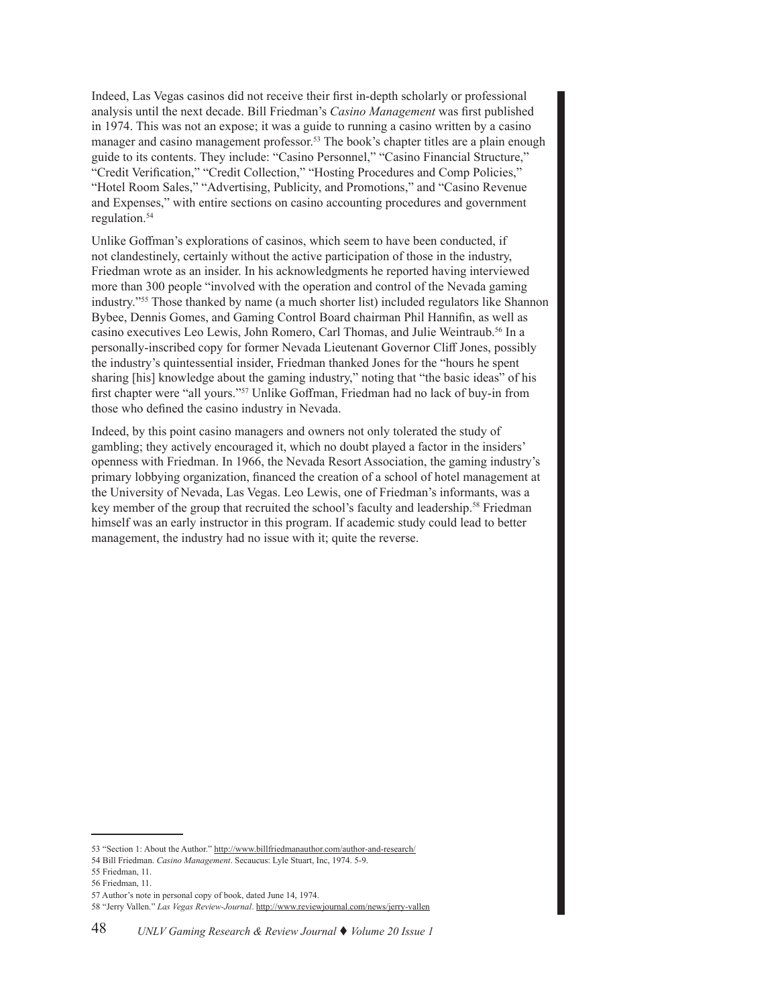Indeed, Las Vegas casinos did not receive their first in-depth scholarly or professional analysis until the next decade. Bill Friedman's *Casino Management* was first published in 1974. This was not an expose; it was a guide to running a casino written by a casino manager and casino management professor.<sup>53</sup> The book's chapter titles are a plain enough guide to its contents. They include: "Casino Personnel," "Casino Financial Structure," "Credit Verification," "Credit Collection," "Hosting Procedures and Comp Policies," "Hotel Room Sales," "Advertising, Publicity, and Promotions," and "Casino Revenue and Expenses," with entire sections on casino accounting procedures and government regulation.54

Unlike Goffman's explorations of casinos, which seem to have been conducted, if not clandestinely, certainly without the active participation of those in the industry, Friedman wrote as an insider. In his acknowledgments he reported having interviewed more than 300 people "involved with the operation and control of the Nevada gaming industry."55 Those thanked by name (a much shorter list) included regulators like Shannon Bybee, Dennis Gomes, and Gaming Control Board chairman Phil Hannifin, as well as casino executives Leo Lewis, John Romero, Carl Thomas, and Julie Weintraub.56 In a personally-inscribed copy for former Nevada Lieutenant Governor Cliff Jones, possibly the industry's quintessential insider, Friedman thanked Jones for the "hours he spent sharing [his] knowledge about the gaming industry," noting that "the basic ideas" of his first chapter were "all yours."57 Unlike Goffman, Friedman had no lack of buy-in from those who defined the casino industry in Nevada.

Indeed, by this point casino managers and owners not only tolerated the study of gambling; they actively encouraged it, which no doubt played a factor in the insiders' openness with Friedman. In 1966, the Nevada Resort Association, the gaming industry's primary lobbying organization, financed the creation of a school of hotel management at the University of Nevada, Las Vegas. Leo Lewis, one of Friedman's informants, was a key member of the group that recruited the school's faculty and leadership.58 Friedman himself was an early instructor in this program. If academic study could lead to better management, the industry had no issue with it; quite the reverse.

<sup>53 &</sup>quot;Section 1: About the Author." http://www.billfriedmanauthor.com/author-and-research/

<sup>54</sup> Bill Friedman. *Casino Management*. Secaucus: Lyle Stuart, Inc, 1974. 5-9.

<sup>55</sup> Friedman, 11.

<sup>56</sup> Friedman, 11.

<sup>57</sup> Author's note in personal copy of book, dated June 14, 1974.

<sup>58 &</sup>quot;Jerry Vallen." *Las Vegas Review-Journal*. http://www.reviewjournal.com/news/jerry-vallen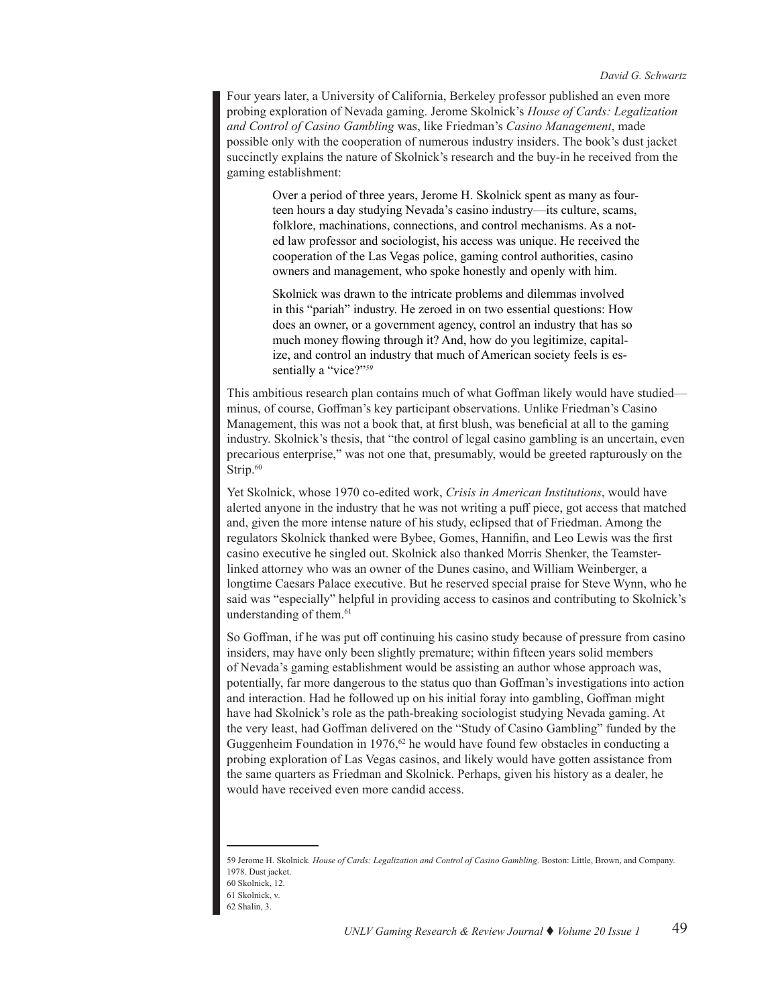Four years later, a University of California, Berkeley professor published an even more probing exploration of Nevada gaming. Jerome Skolnick's *House of Cards: Legalization and Control of Casino Gambling* was, like Friedman's *Casino Management*, made possible only with the cooperation of numerous industry insiders. The book's dust jacket succinctly explains the nature of Skolnick's research and the buy-in he received from the gaming establishment:

> Over a period of three years, Jerome H. Skolnick spent as many as fourteen hours a day studying Nevada's casino industry—its culture, scams, folklore, machinations, connections, and control mechanisms. As a noted law professor and sociologist, his access was unique. He received the cooperation of the Las Vegas police, gaming control authorities, casino owners and management, who spoke honestly and openly with him.

Skolnick was drawn to the intricate problems and dilemmas involved in this "pariah" industry. He zeroed in on two essential questions: How does an owner, or a government agency, control an industry that has so much money flowing through it? And, how do you legitimize, capitalize, and control an industry that much of American society feels is essentially a "vice?"<sup>59</sup>

This ambitious research plan contains much of what Goffman likely would have studied minus, of course, Goffman's key participant observations. Unlike Friedman's Casino Management, this was not a book that, at first blush, was beneficial at all to the gaming industry. Skolnick's thesis, that "the control of legal casino gambling is an uncertain, even precarious enterprise," was not one that, presumably, would be greeted rapturously on the Strip.<sup>60</sup>

Yet Skolnick, whose 1970 co-edited work, *Crisis in American Institutions*, would have alerted anyone in the industry that he was not writing a puff piece, got access that matched and, given the more intense nature of his study, eclipsed that of Friedman. Among the regulators Skolnick thanked were Bybee, Gomes, Hannifin, and Leo Lewis was the first casino executive he singled out. Skolnick also thanked Morris Shenker, the Teamsterlinked attorney who was an owner of the Dunes casino, and William Weinberger, a longtime Caesars Palace executive. But he reserved special praise for Steve Wynn, who he said was "especially" helpful in providing access to casinos and contributing to Skolnick's understanding of them.<sup>61</sup>

So Goffman, if he was put off continuing his casino study because of pressure from casino insiders, may have only been slightly premature; within fifteen years solid members of Nevada's gaming establishment would be assisting an author whose approach was, potentially, far more dangerous to the status quo than Goffman's investigations into action and interaction. Had he followed up on his initial foray into gambling, Goffman might have had Skolnick's role as the path-breaking sociologist studying Nevada gaming. At the very least, had Goffman delivered on the "Study of Casino Gambling" funded by the Guggenheim Foundation in 1976,<sup>62</sup> he would have found few obstacles in conducting a probing exploration of Las Vegas casinos, and likely would have gotten assistance from the same quarters as Friedman and Skolnick. Perhaps, given his history as a dealer, he would have received even more candid access.

<sup>59</sup> Jerome H. Skolnick*. House of Cards: Legalization and Control of Casino Gambling*. Boston: Little, Brown, and Company. 1978. Dust jacket.

<sup>60</sup> Skolnick, 12.

<sup>61</sup> Skolnick, v. 62 Shalin, 3.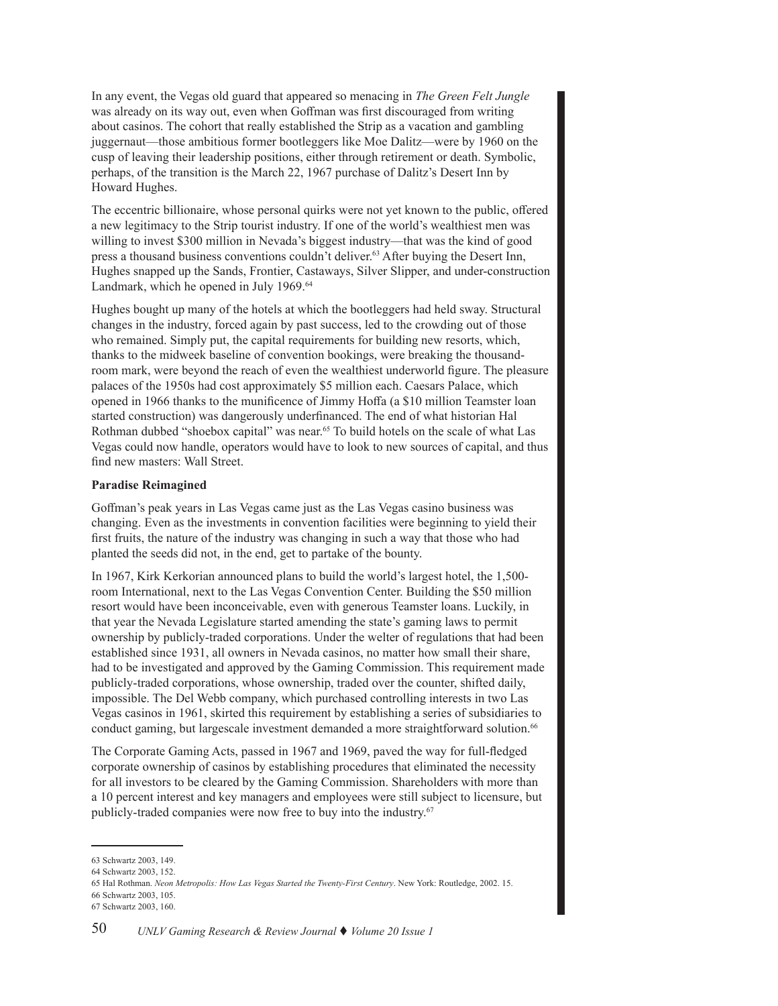In any event, the Vegas old guard that appeared so menacing in *The Green Felt Jungle* was already on its way out, even when Goffman was first discouraged from writing about casinos. The cohort that really established the Strip as a vacation and gambling juggernaut—those ambitious former bootleggers like Moe Dalitz—were by 1960 on the cusp of leaving their leadership positions, either through retirement or death. Symbolic, perhaps, of the transition is the March 22, 1967 purchase of Dalitz's Desert Inn by Howard Hughes.

The eccentric billionaire, whose personal quirks were not yet known to the public, offered a new legitimacy to the Strip tourist industry. If one of the world's wealthiest men was willing to invest \$300 million in Nevada's biggest industry—that was the kind of good press a thousand business conventions couldn't deliver.<sup>63</sup> After buying the Desert Inn, Hughes snapped up the Sands, Frontier, Castaways, Silver Slipper, and under-construction Landmark, which he opened in July 1969.<sup>64</sup>

Hughes bought up many of the hotels at which the bootleggers had held sway. Structural changes in the industry, forced again by past success, led to the crowding out of those who remained. Simply put, the capital requirements for building new resorts, which, thanks to the midweek baseline of convention bookings, were breaking the thousandroom mark, were beyond the reach of even the wealthiest underworld figure. The pleasure palaces of the 1950s had cost approximately \$5 million each. Caesars Palace, which opened in 1966 thanks to the munificence of Jimmy Hoffa (a \$10 million Teamster loan started construction) was dangerously underfinanced. The end of what historian Hal Rothman dubbed "shoebox capital" was near.<sup>65</sup> To build hotels on the scale of what Las Vegas could now handle, operators would have to look to new sources of capital, and thus find new masters: Wall Street.

## **Paradise Reimagined**

Goffman's peak years in Las Vegas came just as the Las Vegas casino business was changing. Even as the investments in convention facilities were beginning to yield their first fruits, the nature of the industry was changing in such a way that those who had planted the seeds did not, in the end, get to partake of the bounty.

In 1967, Kirk Kerkorian announced plans to build the world's largest hotel, the 1,500 room International, next to the Las Vegas Convention Center. Building the \$50 million resort would have been inconceivable, even with generous Teamster loans. Luckily, in that year the Nevada Legislature started amending the state's gaming laws to permit ownership by publicly-traded corporations. Under the welter of regulations that had been established since 1931, all owners in Nevada casinos, no matter how small their share, had to be investigated and approved by the Gaming Commission. This requirement made publicly-traded corporations, whose ownership, traded over the counter, shifted daily, impossible. The Del Webb company, which purchased controlling interests in two Las Vegas casinos in 1961, skirted this requirement by establishing a series of subsidiaries to conduct gaming, but largescale investment demanded a more straightforward solution.<sup>66</sup>

The Corporate Gaming Acts, passed in 1967 and 1969, paved the way for full-fledged corporate ownership of casinos by establishing procedures that eliminated the necessity for all investors to be cleared by the Gaming Commission. Shareholders with more than a 10 percent interest and key managers and employees were still subject to licensure, but publicly-traded companies were now free to buy into the industry.<sup>67</sup>

<sup>63</sup> Schwartz 2003, 149.

<sup>64</sup> Schwartz 2003, 152.

<sup>65</sup> Hal Rothman. *Neon Metropolis: How Las Vegas Started the Twenty-First Century*. New York: Routledge, 2002. 15. 66 Schwartz 2003, 105.

<sup>67</sup> Schwartz 2003, 160.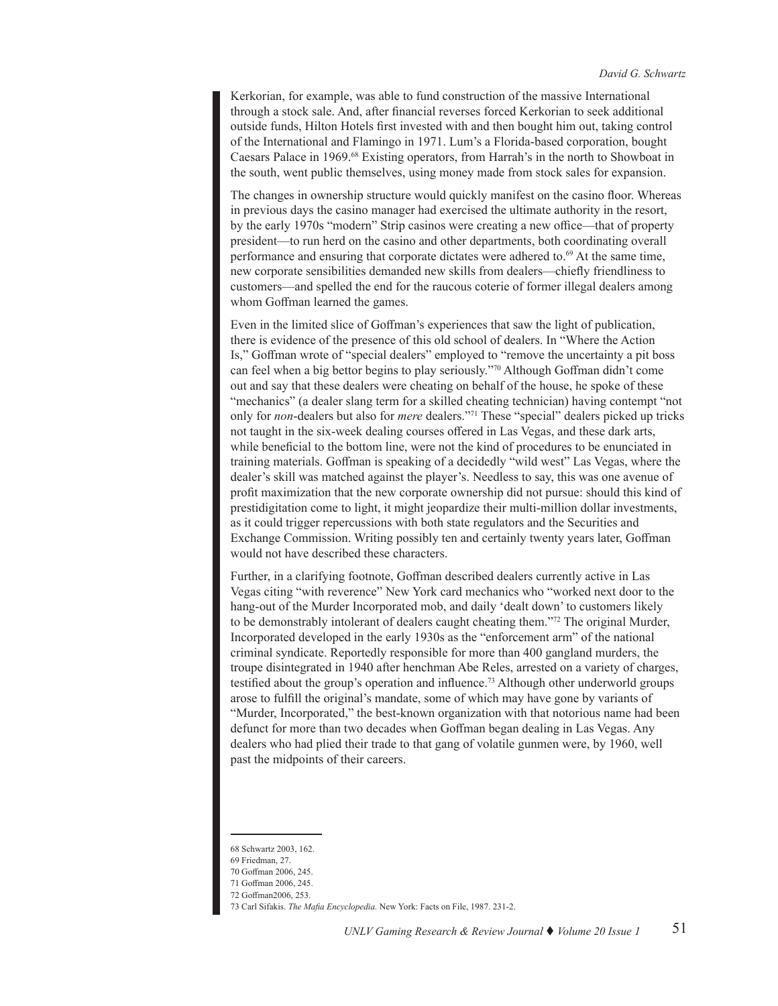Kerkorian, for example, was able to fund construction of the massive International through a stock sale. And, after financial reverses forced Kerkorian to seek additional outside funds, Hilton Hotels first invested with and then bought him out, taking control of the International and Flamingo in 1971. Lum's a Florida-based corporation, bought Caesars Palace in 1969.68 Existing operators, from Harrah's in the north to Showboat in the south, went public themselves, using money made from stock sales for expansion.

The changes in ownership structure would quickly manifest on the casino floor. Whereas in previous days the casino manager had exercised the ultimate authority in the resort, by the early 1970s "modern" Strip casinos were creating a new office—that of property president—to run herd on the casino and other departments, both coordinating overall performance and ensuring that corporate dictates were adhered to.<sup>69</sup> At the same time, new corporate sensibilities demanded new skills from dealers—chiefly friendliness to customers—and spelled the end for the raucous coterie of former illegal dealers among whom Goffman learned the games.

Even in the limited slice of Goffman's experiences that saw the light of publication, there is evidence of the presence of this old school of dealers. In "Where the Action Is," Goffman wrote of "special dealers" employed to "remove the uncertainty a pit boss can feel when a big bettor begins to play seriously."70 Although Goffman didn't come out and say that these dealers were cheating on behalf of the house, he spoke of these "mechanics" (a dealer slang term for a skilled cheating technician) having contempt "not only for *non*-dealers but also for *mere* dealers."71 These "special" dealers picked up tricks not taught in the six-week dealing courses offered in Las Vegas, and these dark arts, while beneficial to the bottom line, were not the kind of procedures to be enunciated in training materials. Goffman is speaking of a decidedly "wild west" Las Vegas, where the dealer's skill was matched against the player's. Needless to say, this was one avenue of profit maximization that the new corporate ownership did not pursue: should this kind of prestidigitation come to light, it might jeopardize their multi-million dollar investments, as it could trigger repercussions with both state regulators and the Securities and Exchange Commission. Writing possibly ten and certainly twenty years later, Goffman would not have described these characters.

Further, in a clarifying footnote, Goffman described dealers currently active in Las Vegas citing "with reverence" New York card mechanics who "worked next door to the hang-out of the Murder Incorporated mob, and daily 'dealt down' to customers likely to be demonstrably intolerant of dealers caught cheating them."72 The original Murder, Incorporated developed in the early 1930s as the "enforcement arm" of the national criminal syndicate. Reportedly responsible for more than 400 gangland murders, the troupe disintegrated in 1940 after henchman Abe Reles, arrested on a variety of charges, testified about the group's operation and influence.73 Although other underworld groups arose to fulfill the original's mandate, some of which may have gone by variants of "Murder, Incorporated," the best-known organization with that notorious name had been defunct for more than two decades when Goffman began dealing in Las Vegas. Any dealers who had plied their trade to that gang of volatile gunmen were, by 1960, well past the midpoints of their careers.

<sup>68</sup> Schwartz 2003, 162.

<sup>69</sup> Friedman, 27.

<sup>70</sup> Goffman 2006, 245.

<sup>71</sup> Goffman 2006, 245.

<sup>72</sup> Goffman2006, 253.

<sup>73</sup> Carl Sifakis. *The Mafia Encyclopedia.* New York: Facts on File, 1987. 231-2.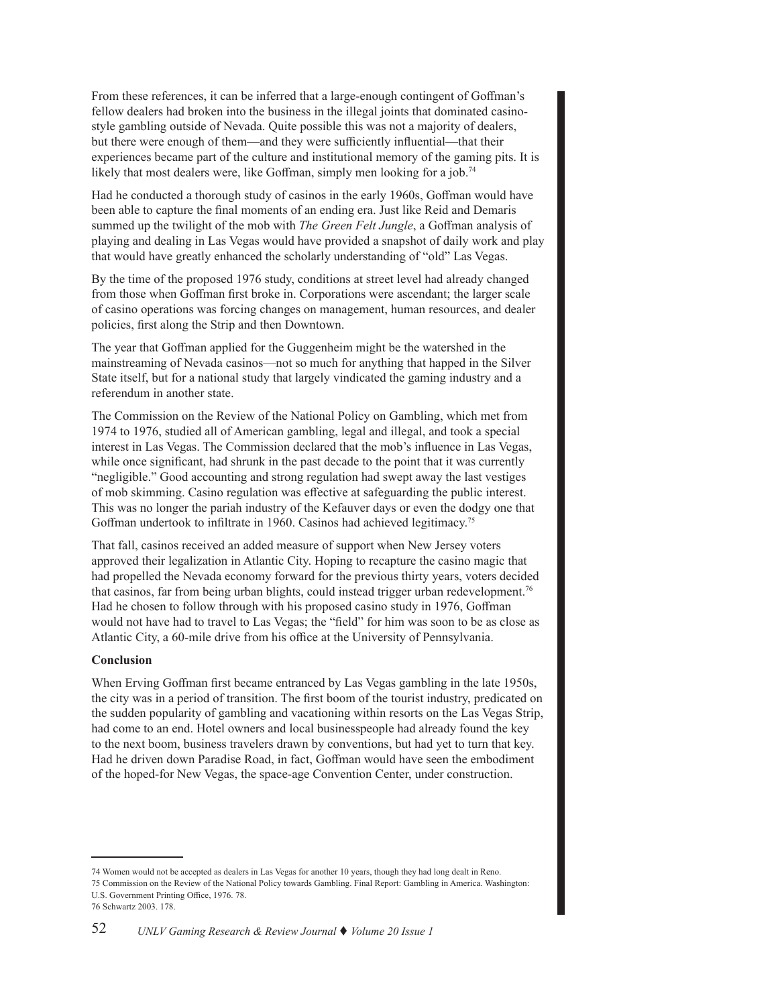From these references, it can be inferred that a large-enough contingent of Goffman's fellow dealers had broken into the business in the illegal joints that dominated casinostyle gambling outside of Nevada. Quite possible this was not a majority of dealers, but there were enough of them—and they were sufficiently influential—that their experiences became part of the culture and institutional memory of the gaming pits. It is likely that most dealers were, like Goffman, simply men looking for a job.<sup>74</sup>

Had he conducted a thorough study of casinos in the early 1960s, Goffman would have been able to capture the final moments of an ending era. Just like Reid and Demaris summed up the twilight of the mob with *The Green Felt Jungle*, a Goffman analysis of playing and dealing in Las Vegas would have provided a snapshot of daily work and play that would have greatly enhanced the scholarly understanding of "old" Las Vegas.

By the time of the proposed 1976 study, conditions at street level had already changed from those when Goffman first broke in. Corporations were ascendant; the larger scale of casino operations was forcing changes on management, human resources, and dealer policies, first along the Strip and then Downtown.

The year that Goffman applied for the Guggenheim might be the watershed in the mainstreaming of Nevada casinos—not so much for anything that happed in the Silver State itself, but for a national study that largely vindicated the gaming industry and a referendum in another state.

The Commission on the Review of the National Policy on Gambling, which met from 1974 to 1976, studied all of American gambling, legal and illegal, and took a special interest in Las Vegas. The Commission declared that the mob's influence in Las Vegas, while once significant, had shrunk in the past decade to the point that it was currently "negligible." Good accounting and strong regulation had swept away the last vestiges of mob skimming. Casino regulation was effective at safeguarding the public interest. This was no longer the pariah industry of the Kefauver days or even the dodgy one that Goffman undertook to infiltrate in 1960. Casinos had achieved legitimacy. 75

That fall, casinos received an added measure of support when New Jersey voters approved their legalization in Atlantic City. Hoping to recapture the casino magic that had propelled the Nevada economy forward for the previous thirty years, voters decided that casinos, far from being urban blights, could instead trigger urban redevelopment.<sup>76</sup> Had he chosen to follow through with his proposed casino study in 1976, Goffman would not have had to travel to Las Vegas; the "field" for him was soon to be as close as Atlantic City, a 60-mile drive from his office at the University of Pennsylvania.

## **Conclusion**

When Erving Goffman first became entranced by Las Vegas gambling in the late 1950s, the city was in a period of transition. The first boom of the tourist industry, predicated on the sudden popularity of gambling and vacationing within resorts on the Las Vegas Strip, had come to an end. Hotel owners and local businesspeople had already found the key to the next boom, business travelers drawn by conventions, but had yet to turn that key. Had he driven down Paradise Road, in fact, Goffman would have seen the embodiment of the hoped-for New Vegas, the space-age Convention Center, under construction.

<sup>74</sup> Women would not be accepted as dealers in Las Vegas for another 10 years, though they had long dealt in Reno. 75 Commission on the Review of the National Policy towards Gambling. Final Report: Gambling in America. Washington: U.S. Government Printing Office, 1976. 78.